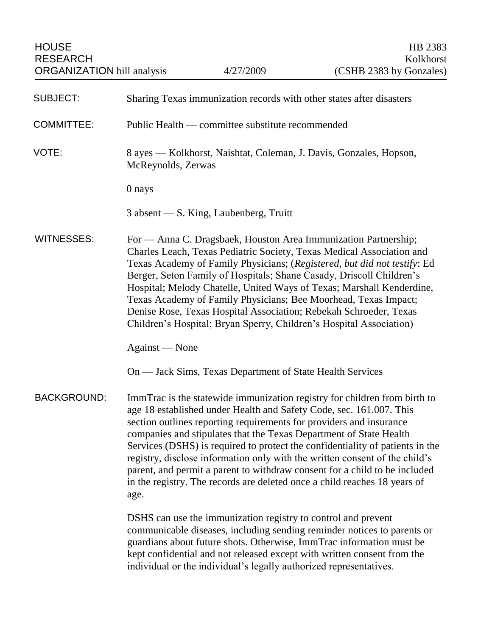| <b>SUBJECT:</b>    | Sharing Texas immunization records with other states after disasters                                                                                                                                                                                                                                                                                                                                                                                                                                                                                                                                                             |
|--------------------|----------------------------------------------------------------------------------------------------------------------------------------------------------------------------------------------------------------------------------------------------------------------------------------------------------------------------------------------------------------------------------------------------------------------------------------------------------------------------------------------------------------------------------------------------------------------------------------------------------------------------------|
| <b>COMMITTEE:</b>  | Public Health — committee substitute recommended                                                                                                                                                                                                                                                                                                                                                                                                                                                                                                                                                                                 |
| VOTE:              | 8 ayes — Kolkhorst, Naishtat, Coleman, J. Davis, Gonzales, Hopson,<br>McReynolds, Zerwas                                                                                                                                                                                                                                                                                                                                                                                                                                                                                                                                         |
|                    | 0 nays                                                                                                                                                                                                                                                                                                                                                                                                                                                                                                                                                                                                                           |
|                    | $3$ absent $\sim$ S. King, Laubenberg, Truitt                                                                                                                                                                                                                                                                                                                                                                                                                                                                                                                                                                                    |
| <b>WITNESSES:</b>  | For — Anna C. Dragsbaek, Houston Area Immunization Partnership;<br>Charles Leach, Texas Pediatric Society, Texas Medical Association and<br>Texas Academy of Family Physicians; (Registered, but did not testify: Ed<br>Berger, Seton Family of Hospitals; Shane Casady, Driscoll Children's<br>Hospital; Melody Chatelle, United Ways of Texas; Marshall Kenderdine,<br>Texas Academy of Family Physicians; Bee Moorhead, Texas Impact;<br>Denise Rose, Texas Hospital Association; Rebekah Schroeder, Texas<br>Children's Hospital; Bryan Sperry, Children's Hospital Association)                                             |
|                    | Against — None                                                                                                                                                                                                                                                                                                                                                                                                                                                                                                                                                                                                                   |
|                    | On — Jack Sims, Texas Department of State Health Services                                                                                                                                                                                                                                                                                                                                                                                                                                                                                                                                                                        |
| <b>BACKGROUND:</b> | ImmTrac is the statewide immunization registry for children from birth to<br>age 18 established under Health and Safety Code, sec. 161.007. This<br>section outlines reporting requirements for providers and insurance<br>companies and stipulates that the Texas Department of State Health<br>Services (DSHS) is required to protect the confidentiality of patients in the<br>registry, disclose information only with the written consent of the child's<br>parent, and permit a parent to withdraw consent for a child to be included<br>in the registry. The records are deleted once a child reaches 18 years of<br>age. |
|                    | DSHS can use the immunization registry to control and prevent<br>communicable diseases, including sending reminder notices to parents or<br>guardians about future shots. Otherwise, ImmTrac information must be<br>kept confidential and not released except with written consent from the<br>individual or the individual's legally authorized representatives.                                                                                                                                                                                                                                                                |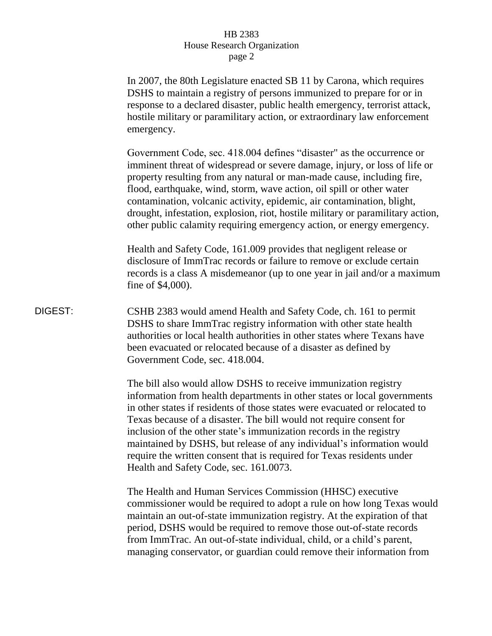## HB 2383 House Research Organization page 2

In 2007, the 80th Legislature enacted SB 11 by Carona, which requires DSHS to maintain a registry of persons immunized to prepare for or in response to a declared disaster, public health emergency, terrorist attack, hostile military or paramilitary action, or extraordinary law enforcement emergency. Government Code, sec. 418.004 defines "disaster" as the occurrence or imminent threat of widespread or severe damage, injury, or loss of life or property resulting from any natural or man-made cause, including fire, flood, earthquake, wind, storm, wave action, oil spill or other water contamination, volcanic activity, epidemic, air contamination, blight, drought, infestation, explosion, riot, hostile military or paramilitary action, other public calamity requiring emergency action, or energy emergency. Health and Safety Code, 161.009 provides that negligent release or disclosure of ImmTrac records or failure to remove or exclude certain records is a class A misdemeanor (up to one year in jail and/or a maximum fine of \$4,000). DIGEST: CSHB 2383 would amend Health and Safety Code, ch. 161 to permit DSHS to share ImmTrac registry information with other state health authorities or local health authorities in other states where Texans have been evacuated or relocated because of a disaster as defined by Government Code, sec. 418.004. The bill also would allow DSHS to receive immunization registry information from health departments in other states or local governments in other states if residents of those states were evacuated or relocated to Texas because of a disaster. The bill would not require consent for inclusion of the other state's immunization records in the registry maintained by DSHS, but release of any individual's information would require the written consent that is required for Texas residents under Health and Safety Code, sec. 161.0073. The Health and Human Services Commission (HHSC) executive commissioner would be required to adopt a rule on how long Texas would maintain an out-of-state immunization registry. At the expiration of that period, DSHS would be required to remove those out-of-state records from ImmTrac. An out-of-state individual, child, or a child's parent, managing conservator, or guardian could remove their information from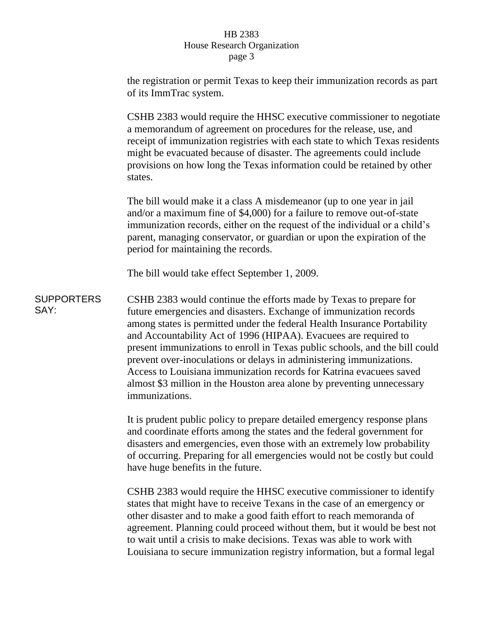## HB 2383 House Research Organization page 3

the registration or permit Texas to keep their immunization records as part of its ImmTrac system.

CSHB 2383 would require the HHSC executive commissioner to negotiate a memorandum of agreement on procedures for the release, use, and receipt of immunization registries with each state to which Texas residents might be evacuated because of disaster. The agreements could include provisions on how long the Texas information could be retained by other states.

The bill would make it a class A misdemeanor (up to one year in jail and/or a maximum fine of \$4,000) for a failure to remove out-of-state immunization records, either on the request of the individual or a child's parent, managing conservator, or guardian or upon the expiration of the period for maintaining the records.

The bill would take effect September 1, 2009.

**SUPPORTERS** SAY: CSHB 2383 would continue the efforts made by Texas to prepare for future emergencies and disasters. Exchange of immunization records among states is permitted under the federal Health Insurance Portability and Accountability Act of 1996 (HIPAA). Evacuees are required to present immunizations to enroll in Texas public schools, and the bill could prevent over-inoculations or delays in administering immunizations. Access to Louisiana immunization records for Katrina evacuees saved almost \$3 million in the Houston area alone by preventing unnecessary immunizations.

> It is prudent public policy to prepare detailed emergency response plans and coordinate efforts among the states and the federal government for disasters and emergencies, even those with an extremely low probability of occurring. Preparing for all emergencies would not be costly but could have huge benefits in the future.

> CSHB 2383 would require the HHSC executive commissioner to identify states that might have to receive Texans in the case of an emergency or other disaster and to make a good faith effort to reach memoranda of agreement. Planning could proceed without them, but it would be best not to wait until a crisis to make decisions. Texas was able to work with Louisiana to secure immunization registry information, but a formal legal